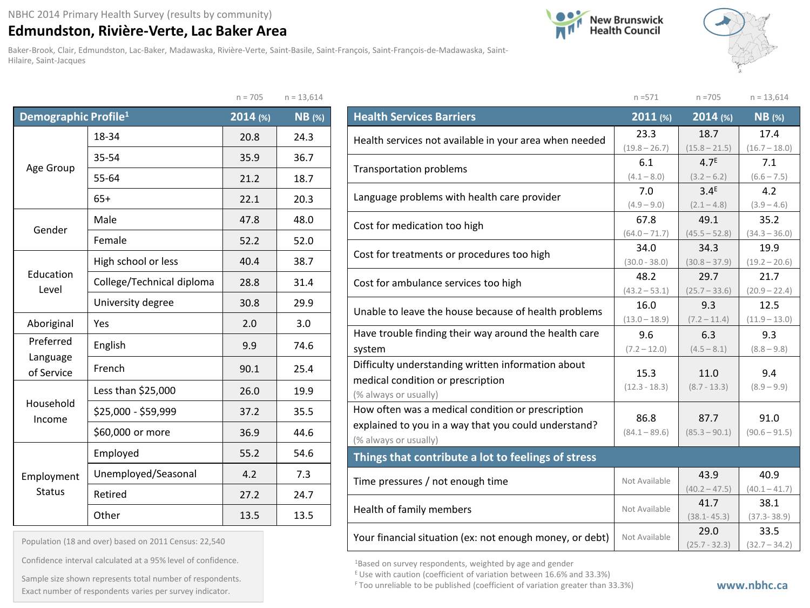## **Edmundston, Rivière-Verte, Lac Baker Area**

Baker-Brook, Clair, Edmundston, Lac-Baker, Madawaska, Rivière-Verte, Saint-Basile, Saint-François, Saint-François-de-Madawaska, Saint-Hilaire, Saint-Jacques





|                                  |                           | $n = 705$ | $n = 13,614$  |
|----------------------------------|---------------------------|-----------|---------------|
| Demographic Profile <sup>1</sup> |                           | 2014 (%)  | <b>NB</b> (%) |
|                                  | 18-34                     | 20.8      | 24.3          |
|                                  | 35-54                     | 35.9      | 36.7          |
| Age Group                        | 55-64                     | 21.2      | 18.7          |
|                                  | $65+$                     | 22.1      | 20.3          |
| Gender                           | Male                      |           | 48.0          |
|                                  | Female                    | 52.2      | 52.0          |
| Education<br>Level               | High school or less       | 40.4      | 38.7          |
|                                  | College/Technical diploma | 28.8      | 31.4          |
|                                  | University degree         | 30.8      | 29.9          |
| Aboriginal                       | Yes                       | 2.0       | 3.0           |
| Preferred                        | English                   | 9.9       | 74.6          |
| Language<br>of Service           | French                    | 90.1      | 25.4          |
|                                  | Less than \$25,000        | 26.0      | 19.9          |
| Household<br>Income              | \$25,000 - \$59,999       | 37.2      | 35.5          |
|                                  | \$60,000 or more          | 36.9      | 44.6          |
|                                  | Employed                  | 55.2      | 54.6          |
| Employment                       | Unemployed/Seasonal       | 4.2       | 7.3           |
| <b>Status</b>                    | Retired                   | 27.2      | 24.7          |
|                                  | Other                     | 13.5      | 13.5          |

Population (18 and over) based on 2011 Census: 22,540

Confidence interval calculated at a 95% level of confidence.

Exact number of respondents variationer of respondents.<br>Exact number of respondents varies per survey indicator. Sample size shown represents total number of respondents.

|                                                          | $n = 571$            | $n = 705$                                                                                                                                                                                                                                                                                                                                                                        | $n = 13,614$    |
|----------------------------------------------------------|----------------------|----------------------------------------------------------------------------------------------------------------------------------------------------------------------------------------------------------------------------------------------------------------------------------------------------------------------------------------------------------------------------------|-----------------|
| <b>Health Services Barriers</b>                          | 2011 (%)             | $2014$ (%)                                                                                                                                                                                                                                                                                                                                                                       | $NB$ (%)        |
| Health services not available in your area when needed   | 23.3                 | 18.7                                                                                                                                                                                                                                                                                                                                                                             | 17.4            |
|                                                          | $(19.8 - 26.7)$      | $(15.8 - 21.5)$                                                                                                                                                                                                                                                                                                                                                                  | $(16.7 - 18.0)$ |
| Transportation problems                                  | 6.1                  |                                                                                                                                                                                                                                                                                                                                                                                  |                 |
|                                                          | $(4.1 - 8.0)$        |                                                                                                                                                                                                                                                                                                                                                                                  | $(6.6 - 7.5)$   |
| Language problems with health care provider              | 7.0<br>$(4.9 - 9.0)$ |                                                                                                                                                                                                                                                                                                                                                                                  |                 |
|                                                          | 67.8                 |                                                                                                                                                                                                                                                                                                                                                                                  |                 |
| Cost for medication too high                             | $(64.0 - 71.7)$      | $(45.5 - 52.8)$                                                                                                                                                                                                                                                                                                                                                                  | $(34.3 - 36.0)$ |
|                                                          | 34.0                 | 34.3                                                                                                                                                                                                                                                                                                                                                                             | 19.9            |
| Cost for treatments or procedures too high               | $(30.0 - 38.0)$      | $(30.8 - 37.9)$                                                                                                                                                                                                                                                                                                                                                                  |                 |
| Cost for ambulance services too high                     | 48.2                 | 29.7                                                                                                                                                                                                                                                                                                                                                                             | 21.7            |
|                                                          | $(43.2 - 53.1)$      | 4.7 <sup>E</sup><br>7.1<br>$(3.2 - 6.2)$<br>3.4 <sup>E</sup><br>4.2<br>$(2.1 - 4.8)$<br>$(3.9 - 4.6)$<br>49.1<br>35.2<br>$(19.2 - 20.6)$<br>$(25.7 - 33.6)$<br>9.3<br>$(7.2 - 11.4)$<br>6.3<br>9.3<br>$(4.5 - 8.1)$<br>11.0<br>9.4<br>$(8.7 - 13.3)$<br>87.7<br>91.0<br>$(85.3 - 90.1)$<br>43.9<br>$(40.2 - 47.5)$<br>41.7<br>$(38.1 - 45.3)$<br>33.5<br>29.0<br>$(25.7 - 32.3)$ | $(20.9 - 22.4)$ |
| Unable to leave the house because of health problems     | 16.0                 |                                                                                                                                                                                                                                                                                                                                                                                  | 12.5            |
|                                                          | $(13.0 - 18.9)$      |                                                                                                                                                                                                                                                                                                                                                                                  | $(11.9 - 13.0)$ |
| Have trouble finding their way around the health care    | 9.6                  |                                                                                                                                                                                                                                                                                                                                                                                  |                 |
| system                                                   | $(7.2 - 12.0)$       |                                                                                                                                                                                                                                                                                                                                                                                  | $(8.8 - 9.8)$   |
| Difficulty understanding written information about       | 15.3                 |                                                                                                                                                                                                                                                                                                                                                                                  |                 |
| medical condition or prescription                        | $(12.3 - 18.3)$      |                                                                                                                                                                                                                                                                                                                                                                                  | $(8.9 - 9.9)$   |
| (% always or usually)                                    |                      |                                                                                                                                                                                                                                                                                                                                                                                  |                 |
| How often was a medical condition or prescription        | 86.8                 |                                                                                                                                                                                                                                                                                                                                                                                  |                 |
| explained to you in a way that you could understand?     | $(84.1 - 89.6)$      |                                                                                                                                                                                                                                                                                                                                                                                  | $(90.6 - 91.5)$ |
| (% always or usually)                                    |                      |                                                                                                                                                                                                                                                                                                                                                                                  |                 |
| Things that contribute a lot to feelings of stress       |                      |                                                                                                                                                                                                                                                                                                                                                                                  |                 |
| Time pressures / not enough time                         | Not Available        |                                                                                                                                                                                                                                                                                                                                                                                  | 40.9            |
|                                                          |                      |                                                                                                                                                                                                                                                                                                                                                                                  | $(40.1 - 41.7)$ |
| Health of family members                                 | Not Available        |                                                                                                                                                                                                                                                                                                                                                                                  | 38.1            |
|                                                          |                      |                                                                                                                                                                                                                                                                                                                                                                                  | $(37.3 - 38.9)$ |
| Your financial situation (ex: not enough money, or debt) | Not Available        |                                                                                                                                                                                                                                                                                                                                                                                  | $(32.7 - 34.2)$ |

1Based on survey respondents, weighted by age and gender

E Use with caution (coefficient of variation between 16.6% and 33.3%)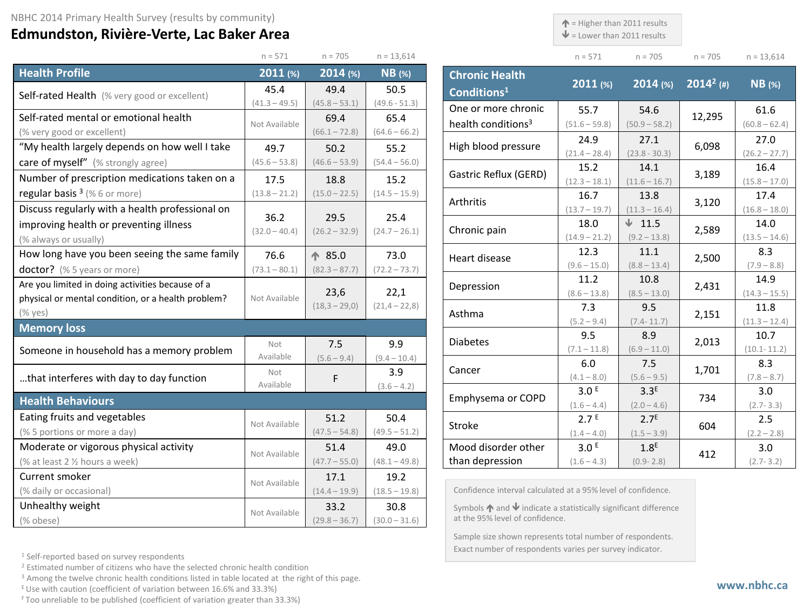## **Edmundston, Rivière-Verte, Lac Baker Area**

 $\uparrow$  = Higher than 2011 results

 $\blacklozenge$  = Lower than 2011 results

 $n = 705$  n = 13,614

 $(60.8 - 62.4)$ 

 $(26.2 - 27.7)$ 

 $(15.8 - 17.0)$ 

 $(16.8 - 18.0)$ 

 $(13.5 - 14.6)$ 

 $(7.9 - 8.8)$ 

 $(14.3 - 15.5)$ 

 $(11.3 - 12.4)$ 

(10.1- 11.2)

 $(7.8 - 8.7)$ 

(2.7- 3.3)

 $(2.2 - 2.8)$ 

(2.7- 3.2)

|                                                    | $n = 571$       | $n = 705$               | $n = 13,614$      |                         |                                                                                                                        | $n = 571$                         | $n = 705$                         | $n = 705$    | $n = 13,61$          |
|----------------------------------------------------|-----------------|-------------------------|-------------------|-------------------------|------------------------------------------------------------------------------------------------------------------------|-----------------------------------|-----------------------------------|--------------|----------------------|
| <b>Health Profile</b>                              | $2011$ (%)      | 2014 (%)                | $NB$ (%)          |                         | <b>Chronic Health</b>                                                                                                  | 2011 (%)                          | $2014$ (%)                        | $2014^2$ (#) | <b>NB</b> (%)        |
| Self-rated Health (% very good or excellent)       | 45.4            | 49.4                    | 50.5              | Conditions <sup>1</sup> |                                                                                                                        |                                   |                                   |              |                      |
|                                                    | $(41.3 - 49.5)$ | $(45.8 - 53.1)$         | $(49.6 - 51.3)$   |                         | One or more chronic                                                                                                    | 55.7                              | 54.6                              |              | 61.6                 |
| Self-rated mental or emotional health              | Not Available   | 69.4                    | 65.4              |                         | health conditions <sup>3</sup>                                                                                         | $(51.6 - 59.8)$                   | $(50.9 - 58.2)$                   | 12,295       | $(60.8 - 62)$        |
| (% very good or excellent)                         |                 | $(66.1 - 72.8)$         | $(64.6 - 66.2)$   |                         |                                                                                                                        | 24.9                              | 27.1                              |              | 27.0                 |
| "My health largely depends on how well I take      | 49.7            | 50.2                    | 55.2              |                         | High blood pressure                                                                                                    | $(21.4 - 28.4)$                   | $(23.8 - 30.3)$                   | 6,098        | $(26.2 - 27)$        |
| care of myself" (% strongly agree)                 | $(45.6 - 53.8)$ | $(46.6 - 53.9)$         | $(54.4 - 56.0)$   |                         | Gastric Reflux (GERD)                                                                                                  | 15.2                              | 14.1                              | 3,189        | 16.4                 |
| Number of prescription medications taken on a      | 17.5            | 18.8                    | 15.2              |                         |                                                                                                                        | $(12.3 - 18.1)$                   | $(11.6 - 16.7)$                   |              | $(15.8 - 17)$        |
| regular basis $3$ (% 6 or more)                    | $(13.8 - 21.2)$ | $(15.0 - 22.5)$         | $(14.5 - 15.9)$   | Arthritis               |                                                                                                                        | 16.7                              | 13.8                              | 3,120        | 17.4                 |
| Discuss regularly with a health professional on    | 36.2            | 29.5                    | 25.4              |                         |                                                                                                                        | $(13.7 - 19.7)$                   | $(11.3 - 16.4)$                   |              | $(16.8 - 18)$        |
| improving health or preventing illness             | $(32.0 - 40.4)$ | $(26.2 - 32.9)$         | $(24.7 - 26.1)$   | Chronic pain            |                                                                                                                        | 18.0                              | $\sqrt{11.5}$                     | 2,589        | 14.0                 |
| (% always or usually)                              |                 |                         |                   |                         |                                                                                                                        | $(14.9 - 21.2)$                   | $(9.2 - 13.8)$                    |              | $(13.5 - 14)$        |
| How long have you been seeing the same family      | 76.6            | ↑ 85.0                  | 73.0              | Heart disease           |                                                                                                                        | 12.3                              | 11.1                              | 2,500        | 8.3                  |
| doctor? (% 5 years or more)                        | $(73.1 - 80.1)$ | $(82.3 - 87.7)$         | $(72.2 - 73.7)$   |                         |                                                                                                                        | $(9.6 - 15.0)$<br>11.2            | $(8.8 - 13.4)$                    |              | $(7.9 - 8.8)$        |
| Are you limited in doing activities because of a   |                 |                         |                   |                         | Depression                                                                                                             |                                   | 10.8                              | 2,431        | 14.9                 |
| physical or mental condition, or a health problem? | Not Available   | 22,1<br>23,6            | $(8.6 - 13.8)$    | $(8.5 - 13.0)$          |                                                                                                                        | $(14.3 - 15.$                     |                                   |              |                      |
| $(%$ yes)                                          |                 | $(18,3 - 29,0)$         | $(21, 4 - 22, 8)$ | Asthma                  |                                                                                                                        | 7.3                               | 9.5                               | 2,151        | 11.8                 |
| <b>Memory loss</b>                                 |                 |                         |                   |                         |                                                                                                                        | $(5.2 - 9.4)$                     | $(7.4 - 11.7)$                    |              | $(11.3 - 12)$        |
|                                                    | Not             | 7.5                     | 9.9               | <b>Diabetes</b>         |                                                                                                                        | 9.5                               | 8.9                               | 2,013        | 10.7                 |
| Someone in household has a memory problem          | Available       | $(5.6 - 9.4)$           | $(9.4 - 10.4)$    |                         |                                                                                                                        | $(7.1 - 11.8)$                    | $(6.9 - 11.0)$                    |              | $(10.1 - 11.$        |
|                                                    | Not             |                         | 3.9               | Cancer                  |                                                                                                                        | 6.0                               | 7.5                               | 1,701        | 8.3                  |
| that interferes with day to day function           | Available       | F                       | $(3.6 - 4.2)$     |                         |                                                                                                                        | $(4.1 - 8.0)$<br>3.0 <sup>E</sup> | $(5.6 - 9.5)$<br>3.3 <sup>E</sup> |              | $(7.8 - 8.7)$<br>3.0 |
| <b>Health Behaviours</b>                           |                 |                         |                   |                         | Emphysema or COPD                                                                                                      | $(1.6 - 4.4)$                     | $(2.0 - 4.6)$                     | 734          | $(2.7 - 3.3)$        |
| Eating fruits and vegetables                       |                 | 51.2                    | 50.4              |                         |                                                                                                                        | 2.7 <sup>E</sup>                  | 2.7 <sup>E</sup>                  |              | 2.5                  |
| (% 5 portions or more a day)                       | Not Available   | $(47.5 - 54.8)$         | $(49.5 - 51.2)$   | Stroke                  |                                                                                                                        | $(1.4 - 4.0)$                     | $(1.5 - 3.9)$                     | 604          | $(2.2 - 2.8)$        |
| Moderate or vigorous physical activity             |                 | 51.4                    | 49.0              |                         | Mood disorder other                                                                                                    | 3.0 <sup>E</sup>                  | 1.8 <sup>E</sup>                  |              | 3.0                  |
| (% at least 2 1/2 hours a week)                    | Not Available   | $(47.7 - 55.0)$         | $(48.1 - 49.8)$   | than depression         |                                                                                                                        | $(1.6 - 4.3)$                     | $(0.9 - 2.8)$                     | 412          | $(2.7 - 3.2)$        |
| Current smoker                                     |                 | 17.1                    | 19.2              |                         |                                                                                                                        |                                   |                                   |              |                      |
| (% daily or occasional)                            | Not Available   | $(14.4 - 19.9)$         | $(18.5 - 19.8)$   |                         | Confidence interval calculated at a 95% level of confidence.                                                           |                                   |                                   |              |                      |
| Unhealthy weight                                   |                 |                         | 30.8              |                         |                                                                                                                        |                                   |                                   |              |                      |
| (% obese)                                          | Not Available   | 33.2<br>$(29.8 - 36.7)$ | $(30.0 - 31.6)$   |                         | Symbols $\uparrow$ and $\downarrow$ indicate a statistically significant difference<br>at the 95% level of confidence. |                                   |                                   |              |                      |
|                                                    |                 |                         |                   |                         |                                                                                                                        |                                   |                                   |              |                      |

Sample size shown represents total number of respondents. Exact number of respondents varies per survey indicator.

<sup>1</sup> Self-reported based on survey respondents

<sup>2</sup> Estimated number of citizens who have the selected chronic health condition

<sup>3</sup> Among the twelve chronic health conditions listed in table located at the right of this page.

E Use with caution (coefficient of variation between 16.6% and 33.3%)

F Too unreliable to be published (coefficient of variation greater than 33.3%)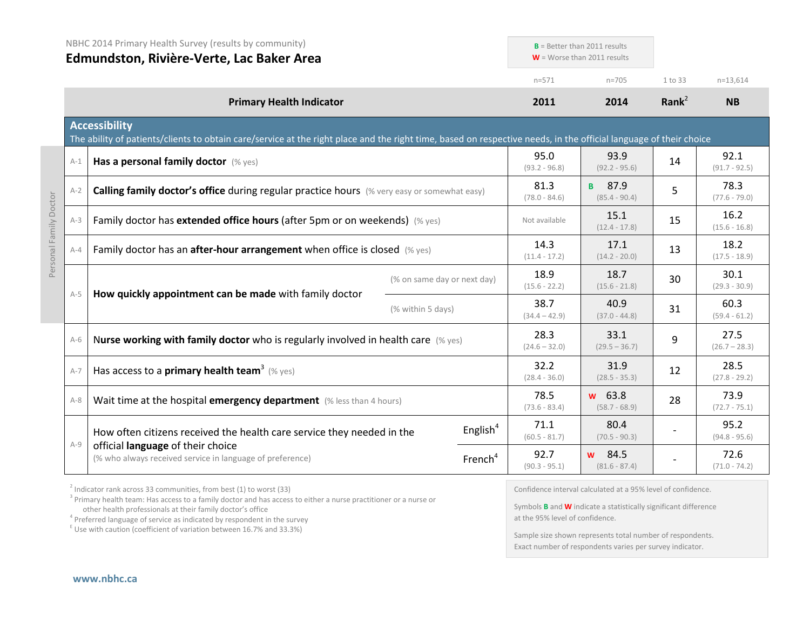|                        |       | NBHC 2014 Primary Health Survey (results by community)<br>Edmundston, Rivière-Verte, Lac Baker Area                                                                                       |                             | $B =$ Better than 2011 results<br>$W =$ Worse than 2011 results |                         |                                  |          |                         |
|------------------------|-------|-------------------------------------------------------------------------------------------------------------------------------------------------------------------------------------------|-----------------------------|-----------------------------------------------------------------|-------------------------|----------------------------------|----------|-------------------------|
|                        |       |                                                                                                                                                                                           |                             |                                                                 | $n = 571$               | $n = 705$                        | 1 to 33  | $n=13,614$              |
|                        |       | <b>Primary Health Indicator</b>                                                                                                                                                           |                             |                                                                 | 2011                    | 2014                             | Rank $2$ | <b>NB</b>               |
|                        |       | <b>Accessibility</b><br>The ability of patients/clients to obtain care/service at the right place and the right time, based on respective needs, in the official language of their choice |                             |                                                                 |                         |                                  |          |                         |
|                        | $A-1$ | Has a personal family doctor (% yes)                                                                                                                                                      |                             |                                                                 | 95.0<br>$(93.2 - 96.8)$ | 93.9<br>$(92.2 - 95.6)$          | 14       | 92.1<br>$(91.7 - 92.5)$ |
|                        | $A-2$ | <b>Calling family doctor's office during regular practice hours</b> (% very easy or somewhat easy)                                                                                        |                             |                                                                 | 81.3<br>$(78.0 - 84.6)$ | <b>B</b> 87.9<br>$(85.4 - 90.4)$ | 5        | 78.3<br>$(77.6 - 79.0)$ |
|                        | $A-3$ | Family doctor has extended office hours (after 5pm or on weekends) (% yes)                                                                                                                |                             |                                                                 |                         | 15.1<br>$(12.4 - 17.8)$          | 15       | 16.2<br>$(15.6 - 16.8)$ |
| Personal Family Doctor | $A-4$ | Family doctor has an after-hour arrangement when office is closed (% yes)                                                                                                                 |                             |                                                                 | 14.3<br>$(11.4 - 17.2)$ | 17.1<br>$(14.2 - 20.0)$          | 13       | 18.2<br>$(17.5 - 18.9)$ |
|                        | $A-5$ |                                                                                                                                                                                           | (% on same day or next day) |                                                                 | 18.9<br>$(15.6 - 22.2)$ | 18.7<br>$(15.6 - 21.8)$          | 30       | 30.1<br>$(29.3 - 30.9)$ |
|                        |       | How quickly appointment can be made with family doctor<br>(% within 5 days)                                                                                                               | 38.7<br>$(34.4 - 42.9)$     | 40.9<br>$(37.0 - 44.8)$                                         | 31                      | 60.3<br>$(59.4 - 61.2)$          |          |                         |
|                        | $A-6$ | Nurse working with family doctor who is regularly involved in health care (% yes)                                                                                                         |                             |                                                                 | 28.3<br>$(24.6 - 32.0)$ | 33.1<br>$(29.5 - 36.7)$          | 9        | 27.5<br>$(26.7 - 28.3)$ |
|                        | $A-7$ | Has access to a <b>primary health team</b> <sup>3</sup> (% yes)                                                                                                                           |                             |                                                                 | 32.2<br>$(28.4 - 36.0)$ | 31.9<br>$(28.5 - 35.3)$          | 12       | 28.5<br>$(27.8 - 29.2)$ |
|                        | $A-8$ | Wait time at the hospital emergency department (% less than 4 hours)                                                                                                                      |                             |                                                                 | 78.5<br>$(73.6 - 83.4)$ | w 63.8<br>$(58.7 - 68.9)$        | 28       | 73.9<br>$(72.7 - 75.1)$ |
|                        | $A-9$ | How often citizens received the health care service they needed in the                                                                                                                    |                             | English $4$                                                     | 71.1<br>$(60.5 - 81.7)$ | 80.4<br>$(70.5 - 90.3)$          |          | 95.2<br>$(94.8 - 95.6)$ |
|                        |       | official language of their choice<br>(% who always received service in language of preference)                                                                                            |                             | French <sup>4</sup>                                             | 92.7<br>$(90.3 - 95.1)$ | w 84.5<br>$(81.6 - 87.4)$        |          | 72.6<br>$(71.0 - 74.2)$ |

 $2$  Indicator rank across 33 communities, from best (1) to worst (33)

<sup>3</sup> Primary health team: Has access to a family doctor and has access to either a nurse practitioner or a nurse or other health professionals at their family doctor's office

<sup>4</sup> Preferred language of service as indicated by respondent in the survey

 $E$  Use with caution (coefficient of variation between 16.7% and 33.3%)

Confidence interval calculated at a 95% level of confidence.

Symbols **B** and **W** indicate a statistically significant difference at the 95% level of confidence.

Sample size shown represents total number of respondents. Exact number of respondents varies per survey indicator.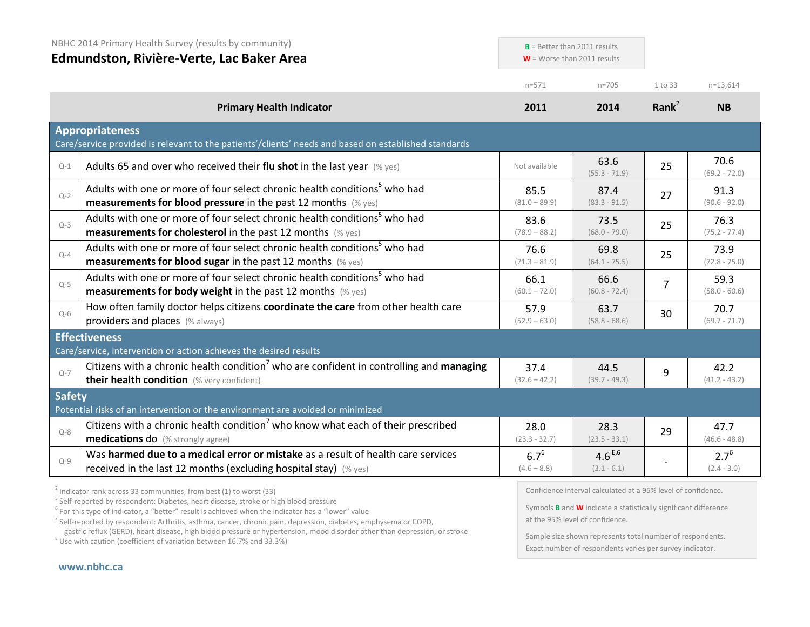|               | NBHC 2014 Primary Health Survey (results by community)<br>Edmundston, Rivière-Verte, Lac Baker Area                                                                                                                   | $B =$ Better than 2011 results<br>$W =$ Worse than 2011 results |                              |                   |                            |
|---------------|-----------------------------------------------------------------------------------------------------------------------------------------------------------------------------------------------------------------------|-----------------------------------------------------------------|------------------------------|-------------------|----------------------------|
|               |                                                                                                                                                                                                                       | $n = 571$                                                       | $n = 705$                    | 1 to 33           | $n=13,614$                 |
|               | <b>Primary Health Indicator</b>                                                                                                                                                                                       | 2011                                                            | 2014                         | Rank <sup>2</sup> | <b>NB</b>                  |
|               | <b>Appropriateness</b><br>Care/service provided is relevant to the patients'/clients' needs and based on established standards                                                                                        |                                                                 |                              |                   |                            |
| $Q-1$         | Adults 65 and over who received their flu shot in the last year $(\%$ yes)                                                                                                                                            | Not available                                                   | 63.6<br>$(55.3 - 71.9)$      | 25                | 70.6<br>$(69.2 - 72.0)$    |
| $Q - 2$       | Adults with one or more of four select chronic health conditions <sup>5</sup> who had<br>measurements for blood pressure in the past 12 months (% yes)                                                                | 85.5<br>$(81.0 - 89.9)$                                         | 87.4<br>$(83.3 - 91.5)$      | 27                | 91.3<br>$(90.6 - 92.0)$    |
| $Q-3$         | Adults with one or more of four select chronic health conditions <sup>5</sup> who had<br><b>measurements for cholesterol</b> in the past 12 months (% yes)                                                            | 83.6<br>$(78.9 - 88.2)$                                         | 73.5<br>$(68.0 - 79.0)$      | 25                | 76.3<br>$(75.2 - 77.4)$    |
| $Q-4$         | Adults with one or more of four select chronic health conditions <sup>5</sup> who had<br>measurements for blood sugar in the past 12 months (% yes)                                                                   | 76.6<br>$(71.3 - 81.9)$                                         | 69.8<br>$(64.1 - 75.5)$      | 25                | 73.9<br>$(72.8 - 75.0)$    |
| $Q-5$         | Adults with one or more of four select chronic health conditions <sup>5</sup> who had<br>measurements for body weight in the past 12 months (% yes)                                                                   | 66.1<br>$(60.1 - 72.0)$                                         | 66.6<br>$(60.8 - 72.4)$      | $\overline{7}$    | 59.3<br>$(58.0 - 60.6)$    |
| $Q-6$         | How often family doctor helps citizens coordinate the care from other health care<br>providers and places (% always)                                                                                                  | 57.9<br>$(52.9 - 63.0)$                                         | 63.7<br>$(58.8 - 68.6)$      | 30                | 70.7<br>$(69.7 - 71.7)$    |
|               | <b>Effectiveness</b>                                                                                                                                                                                                  |                                                                 |                              |                   |                            |
| $Q-7$         | Care/service, intervention or action achieves the desired results<br>Citizens with a chronic health condition <sup>7</sup> who are confident in controlling and managing<br>their health condition (% very confident) | 37.4<br>$(32.6 - 42.2)$                                         | 44.5<br>$(39.7 - 49.3)$      | 9                 | 42.2<br>$(41.2 - 43.2)$    |
| <b>Safety</b> | Potential risks of an intervention or the environment are avoided or minimized                                                                                                                                        |                                                                 |                              |                   |                            |
| $Q - 8$       | Citizens with a chronic health condition <sup>7</sup> who know what each of their prescribed<br>medications do (% strongly agree)                                                                                     | 28.0<br>$(23.3 - 32.7)$                                         | 28.3<br>$(23.5 - 33.1)$      | 29                | 47.7<br>$(46.6 - 48.8)$    |
| $Q - 9$       | Was harmed due to a medical error or mistake as a result of health care services<br>received in the last 12 months (excluding hospital stay) $(\%$ yes)                                                               | $6.7^{6}$<br>$(4.6 - 8.8)$                                      | $4.6^{E,6}$<br>$(3.1 - 6.1)$ |                   | $2.7^{6}$<br>$(2.4 - 3.0)$ |
|               |                                                                                                                                                                                                                       |                                                                 |                              |                   |                            |

 $^2$  Indicator rank across 33 communities, from best (1) to worst (33)<br> $^5$  Self-reported by respondent: Diabetes, heart disease, stroke or high blood pressure

<sup>6</sup> For this type of indicator, a "better" result is achieved when the indicator has a "lower" value

<sup>7</sup> Self-reported by respondent: Arthritis, asthma, cancer, chronic pain, depression, diabetes, emphysema or COPD, gastric reflux (GERD), heart disease, high blood pressure or hypertension, mood disorder other than depression, or stroke E Use with caution (coefficient of variation between 16.7% and 33.3%)

Confidence interval calculated at a 95% level of confidence.

Symbols **B** and **W** indicate a statistically significant difference at the 95% level of confidence.

Sample size shown represents total number of respondents. Exact number of respondents varies per survey indicator.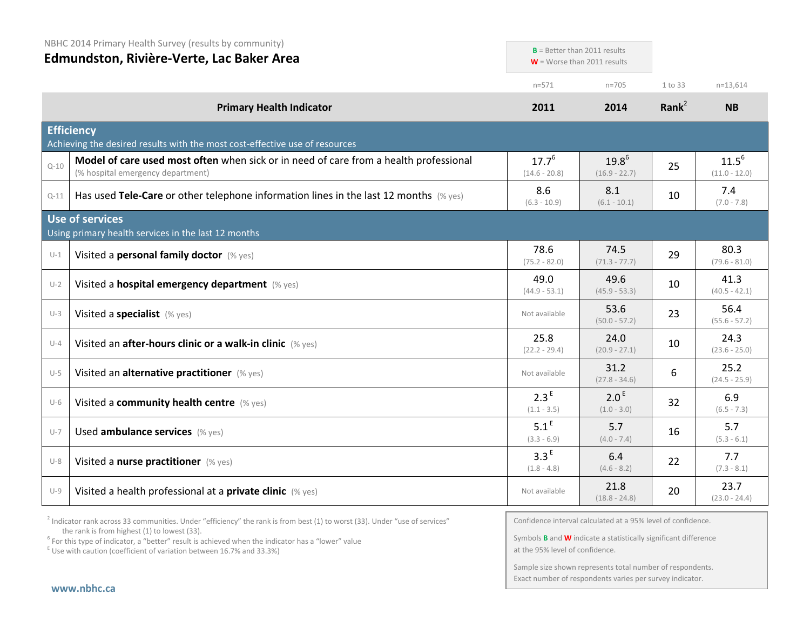NBHC 2014 Primary Health Survey (results by community)

| Edmundston, Rivière-Verte, Lac Baker Area |                                                                                                                            | $D =$ Better trian ZUII results   | $W =$ Worse than 2011 results     |                   |                               |
|-------------------------------------------|----------------------------------------------------------------------------------------------------------------------------|-----------------------------------|-----------------------------------|-------------------|-------------------------------|
|                                           |                                                                                                                            | $n = 571$                         | $n = 705$                         | 1 to 33           | $n=13,614$                    |
|                                           | <b>Primary Health Indicator</b>                                                                                            | 2011                              | 2014                              | Rank <sup>2</sup> | <b>NB</b>                     |
|                                           | <b>Efficiency</b><br>Achieving the desired results with the most cost-effective use of resources                           |                                   |                                   |                   |                               |
| $Q - 10$                                  | Model of care used most often when sick or in need of care from a health professional<br>(% hospital emergency department) | $17.7^{6}$<br>$(14.6 - 20.8)$     | $19.8^{6}$<br>$(16.9 - 22.7)$     | 25                | $11.5^{6}$<br>$(11.0 - 12.0)$ |
| $Q - 11$                                  | Has used Tele-Care or other telephone information lines in the last 12 months $(\%$ yes)                                   | 8.6<br>$(6.3 - 10.9)$             | 8.1<br>$(6.1 - 10.1)$             | 10                | 7.4<br>$(7.0 - 7.8)$          |
|                                           | <b>Use of services</b><br>Using primary health services in the last 12 months                                              |                                   |                                   |                   |                               |
| $U-1$                                     | Visited a personal family doctor (% yes)                                                                                   | 78.6<br>$(75.2 - 82.0)$           | 74.5<br>$(71.3 - 77.7)$           | 29                | 80.3<br>$(79.6 - 81.0)$       |
| $U-2$                                     | Visited a hospital emergency department (% yes)                                                                            | 49.0<br>$(44.9 - 53.1)$           | 49.6<br>$(45.9 - 53.3)$           | 10                | 41.3<br>$(40.5 - 42.1)$       |
| $U-3$                                     | Visited a specialist (% yes)                                                                                               | Not available                     | 53.6<br>$(50.0 - 57.2)$           | 23                | 56.4<br>$(55.6 - 57.2)$       |
| $U - 4$                                   | Visited an after-hours clinic or a walk-in clinic (% yes)                                                                  | 25.8<br>$(22.2 - 29.4)$           | 24.0<br>$(20.9 - 27.1)$           | 10                | 24.3<br>$(23.6 - 25.0)$       |
| $U-5$                                     | Visited an alternative practitioner (% yes)                                                                                | Not available                     | 31.2<br>$(27.8 - 34.6)$           | 6                 | 25.2<br>$(24.5 - 25.9)$       |
| $U-6$                                     | Visited a community health centre (% yes)                                                                                  | 2.3 <sup>E</sup><br>$(1.1 - 3.5)$ | 2.0 <sup>E</sup><br>$(1.0 - 3.0)$ | 32                | 6.9<br>$(6.5 - 7.3)$          |
| $U - 7$                                   | Used ambulance services (% yes)                                                                                            | 5.1 <sup>E</sup><br>$(3.3 - 6.9)$ | 5.7<br>$(4.0 - 7.4)$              | 16                | 5.7<br>$(5.3 - 6.1)$          |
| $U-8$                                     | Visited a nurse practitioner (% yes)                                                                                       | 3.3 <sup>E</sup><br>$(1.8 - 4.8)$ | 6.4<br>$(4.6 - 8.2)$              | 22                | 7.7<br>$(7.3 - 8.1)$          |
| $U-9$                                     | Visited a health professional at a private clinic (% yes)                                                                  | Not available                     | 21.8<br>$(18.8 - 24.8)$           | 20                | 23.7<br>$(23.0 - 24.4)$       |

<sup>2</sup> Indicator rank across 33 communities. Under "efficiency" the rank is from best (1) to worst (33). Under "use of services" the rank is from highest (1) to lowest (33).

<sup>6</sup> For this type of indicator, a "better" result is achieved when the indicator has a "lower" value E Use with caution (coefficient of variation between 16.7% and 33.3%)

Confidence interval calculated at a 95% level of confidence.

**B** Better than 2011 results

Symbols **B** and **W** indicate a statistically significant difference at the 95% level of confidence.

Sample size shown represents total number of respondents. Exact number of respondents varies per survey indicator.